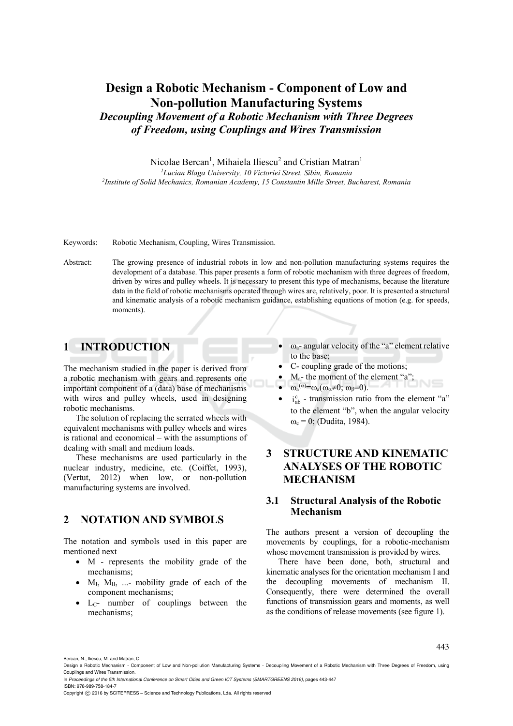# **Design a Robotic Mechanism - Component of Low and Non-pollution Manufacturing Systems**  *Decoupling Movement of a Robotic Mechanism with Three Degrees of Freedom, using Couplings and Wires Transmission*

Nicolae Bercan<sup>1</sup>, Mihaiela Iliescu<sup>2</sup> and Cristian Matran<sup>1</sup>

<sup>1</sup>Lucian Blaga University, 10 Victoriei Street, Sibiu, Romania *Lucian Blaga University, 10 Victoriei Street, Sibiu, Romania 2Institute of Solid Mechanics, Romanian Academy, 15 Constantin Mille Street, Bucharest, Romania* 

Keywords: Robotic Mechanism, Coupling, Wires Transmission.

Abstract: The growing presence of industrial robots in low and non-pollution manufacturing systems requires the development of a database. This paper presents a form of robotic mechanism with three degrees of freedom, driven by wires and pulley wheels. It is necessary to present this type of mechanisms, because the literature data in the field of robotic mechanisms operated through wires are, relatively, poor. It is presented a structural and kinematic analysis of a robotic mechanism guidance, establishing equations of motion (e.g. for speeds, moments).

## **1 INTRODUCTION**

The mechanism studied in the paper is derived from a robotic mechanism with gears and represents one important component of a (data) base of mechanisms with wires and pulley wheels, used in designing robotic mechanisms.

The solution of replacing the serrated wheels with equivalent mechanisms with pulley wheels and wires is rational and economical – with the assumptions of dealing with small and medium loads.

These mechanisms are used particularly in the nuclear industry, medicine, etc. (Coiffet, 1993), (Vertut, 2012) when low, or non-pollution manufacturing systems are involved.

## **2 NOTATION AND SYMBOLS**

The notation and symbols used in this paper are mentioned next

- M represents the mobility grade of the mechanisms;
- $M_{\rm I}$ ,  $M_{\rm II}$ , ...- mobility grade of each of the component mechanisms;
- L<sub>C</sub>- number of couplings between the mechanisms;
- $\omega_{a}$  angular velocity of the "a" element relative to the base;
- C- coupling grade of the motions;
- Ma- the moment of the element "a";
- $\omega_a^{(\alpha)} = \omega_a(\omega_\alpha \neq 0; \omega_\beta = 0).$
- $\bullet$   $i_{ab}^c$  transmission ratio from the element "a" to the element "b", when the angular velocity  $\omega_c = 0$ ; (Dudita, 1984).

## **3 STRUCTURE AND KINEMATIC ANALYSES OF THE ROBOTIC MECHANISM**

#### **3.1 Structural Analysis of the Robotic Mechanism**

The authors present a version of decoupling the movements by couplings, for a robotic-mechanism whose movement transmission is provided by wires.

There have been done, both, structural and kinematic analyses for the orientation mechanism I and the decoupling movements of mechanism II. Consequently, there were determined the overall functions of transmission gears and moments, as well as the conditions of release movements (see figure 1).

Bercan, N., Iliescu, M. and Matran, C. Design a Robotic Mechanism - Component of Low and Non-pollution Manufacturing Systems - Decoupling Movement of a Robotic Mechanism with Three Degrees of Freedom, using

Couplings and Wires Transmission. In *Proceedings of the 5th International Conference on Smart Cities and Green ICT Systems (SMARTGREENS 2016)*, pages 443-447 ISBN: 978-989-758-184-7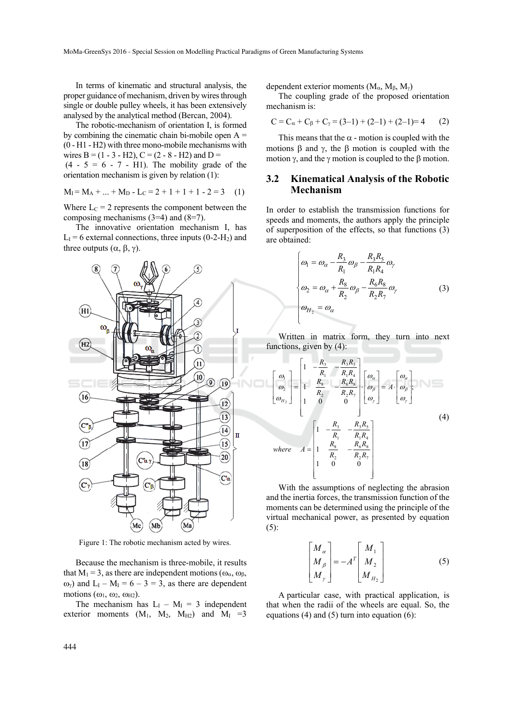In terms of kinematic and structural analysis, the proper guidance of mechanism, driven by wires through single or double pulley wheels, it has been extensively analysed by the analytical method (Bercan, 2004).

The robotic-mechanism of orientation I, is formed by combining the cinematic chain bi-mobile open  $A =$ (0 - H1 - H2) with three mono-mobile mechanisms with wires B =  $(1 - 3 - H2)$ , C =  $(2 - 8 - H2)$  and D =

 $(4 - 5 = 6 - 7 - H1)$ . The mobility grade of the orientation mechanism is given by relation (1):

$$
M_I = M_A + ... + M_D - L_C = 2 + 1 + 1 + 1 - 2 = 3 \quad (1)
$$

Where  $L<sub>C</sub> = 2$  represents the component between the composing mechanisms (3=4) and (8=7).

The innovative orientation mechanism I, has  $L_1$  = 6 external connections, three inputs (0-2-H<sub>2</sub>) and three outputs  $(\alpha, \beta, \gamma)$ .



Figure 1: The robotic mechanism acted by wires.

Because the mechanism is three-mobile, it results that  $M_1 = 3$ , as there are independent motions ( $\omega_{\alpha}$ ,  $\omega_{\beta}$ ,  $\omega_{\gamma}$ ) and  $L_1 - M_1 = 6 - 3 = 3$ , as there are dependent motions  $(\omega_1, \omega_2, \omega_{H2})$ .

The mechanism has  $L_I - M_I = 3$  independent exterior moments  $(M_1, M_2, M_{H2})$  and  $M_1 = 3$ 

dependent exterior moments  $(M_{\alpha}, M_{\beta}, M_{\gamma})$ 

The coupling grade of the proposed orientation mechanism is:

$$
C = C_{\alpha} + C_{\beta} + C_{\gamma} = (3-1) + (2-1) + (2-1) = 4
$$
 (2)

This means that the  $\alpha$  - motion is coupled with the motions  $\beta$  and  $\gamma$ , the  $\beta$  motion is coupled with the motion  $\gamma$ , and the  $\gamma$  motion is coupled to the  $\beta$  motion.

#### **3.2 Kinematical Analysis of the Robotic Mechanism**

In order to establish the transmission functions for speeds and moments, the authors apply the principle of superposition of the effects, so that functions (3) are obtained:

$$
\begin{cases}\n\omega_1 = \omega_\alpha - \frac{R_3}{R_1} \omega_\beta - \frac{R_3 R_5}{R_1 R_4} \omega_\gamma \\
\omega_2 = \omega_\alpha + \frac{R_8}{R_2} \omega_\beta - \frac{R_6 R_8}{R_2 R_7} \omega_\gamma \\
\omega_{H_2} = \omega_\alpha\n\end{cases} (3)
$$

Written in matrix form, they turn into next functions, given by (4):

$$
\begin{bmatrix}\n\omega_1 \\
\omega_2 \\
\omega_{H_2}\n\end{bmatrix} =\n\begin{bmatrix}\n1 & -\frac{R_3}{R_1} & -\frac{R_3 R_5}{R_1 R_4} \\
1 & \frac{R_8}{R_2} & -\frac{R_6 R_8}{R_2 R_7} \\
1 & 0 & 0\n\end{bmatrix}\n\begin{bmatrix}\n\omega_a \\
\omega_\beta \\
\omega_\gamma\n\end{bmatrix} = A \cdot \begin{bmatrix}\n\omega_a \\
\omega_\beta \\
\omega_\gamma\n\end{bmatrix},
$$
\n(4)\n\nwhere\n
$$
A =\n\begin{bmatrix}\n1 & -\frac{R_3}{R_1} & -\frac{R_3 R_5}{R_1 R_4} \\
1 & \frac{R_8}{R_2} & -\frac{R_6 R_8}{R_2 R_7} \\
1 & 0 & 0\n\end{bmatrix}
$$

With the assumptions of neglecting the abrasion and the inertia forces, the transmission function of the moments can be determined using the principle of the virtual mechanical power, as presented by equation (5):

$$
\begin{bmatrix} M_{\alpha} \\ M_{\beta} \\ M_{\gamma} \end{bmatrix} = -A^{T} \begin{bmatrix} M_{1} \\ M_{2} \\ M_{H_{2}} \end{bmatrix}
$$
 (5)

A particular case, with practical application, is that when the radii of the wheels are equal. So, the equations (4) and (5) turn into equation (6):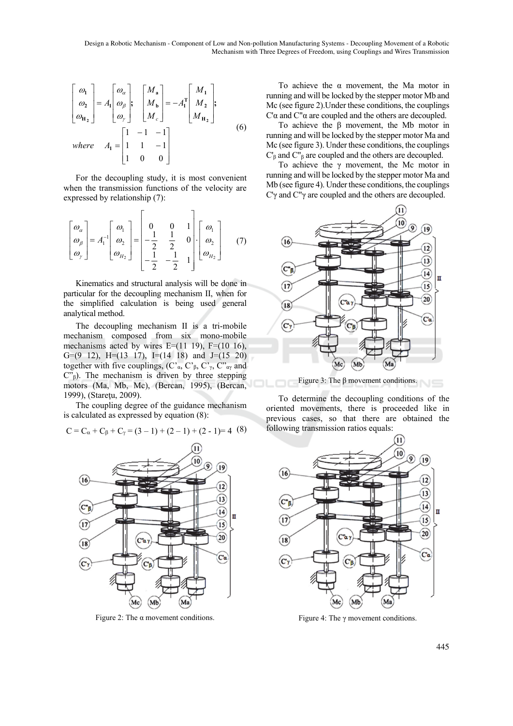Design a Robotic Mechanism - Component of Low and Non-pollution Manufacturing Systems - Decoupling Movement of a Robotic Mechanism with Three Degrees of Freedom, using Couplings and Wires Transmission

$$
\begin{bmatrix}\n\omega_1 \\
\omega_2 \\
\omega_{H_2}\n\end{bmatrix} = A_1 \begin{bmatrix}\n\omega_a \\
\omega_\beta \\
\omega_\gamma\n\end{bmatrix}; \quad\n\begin{bmatrix}\nM_a \\
M_b \\
M_c\n\end{bmatrix} = -A_1^T \begin{bmatrix}\nM_1 \\
M_2 \\
M_{H_2}\n\end{bmatrix};
$$
\nwhere\n
$$
A_1 = \begin{bmatrix}\n1 & -1 & -1 \\
1 & 1 & -1 \\
1 & 0 & 0\n\end{bmatrix}
$$
\n(6)

For the decoupling study, it is most convenient when the transmission functions of the velocity are expressed by relationship (7):

$$
\begin{bmatrix} \omega_{\alpha} \\ \omega_{\beta} \\ \omega_{\gamma} \end{bmatrix} = A_1^{-1} \begin{bmatrix} \omega_1 \\ \omega_2 \\ \omega_{H_2} \end{bmatrix} = \begin{bmatrix} 0 & 0 & 1 \\ -\frac{1}{2} & \frac{1}{2} & 0 \\ -\frac{1}{2} & -\frac{1}{2} & 1 \end{bmatrix} \begin{bmatrix} \omega_1 \\ \omega_2 \\ \omega_{H_2} \end{bmatrix}
$$
 (7)

Kinematics and structural analysis will be done in particular for the decoupling mechanism II, when for the simplified calculation is being used general analytical method.

The decoupling mechanism II is a tri-mobile mechanism composed from six mono-mobile mechanisms acted by wires  $E=(11 19)$ ,  $F=(10 16)$ , G=(9 12), H=(13 17), I=(14 18) and J=(15 20) together with five couplings,  $(C<sub>a</sub>, C<sub>β</sub>, C<sub>γ</sub>, C<sub>αγ</sub>$  and  $C^{\prime\prime}{}_{\beta}$ ). The mechanism is driven by three stepping motors (Ma, Mb, Mc), (Bercan, 1995), (Bercan, 1999), (Stareţu, 2009).

The coupling degree of the guidance mechanism is calculated as expressed by equation (8):

$$
C = C_{\alpha} + C_{\beta} + C_{\gamma} = (3 - 1) + (2 - 1) + (2 - 1) = 4
$$
 (8)



Figure 2: The  $\alpha$  movement conditions.

To achieve the α movement, the Ma motor in running and will be locked by the stepper motor Mb and Mc (see figure 2).Under these conditions, the couplings C'α and C"α are coupled and the others are decoupled.

To achieve the β movement, the Mb motor in running and will be locked by the stepper motor Ma and Mc (see figure 3). Under these conditions, the couplings C'β and C"β are coupled and the others are decoupled.

To achieve the  $\gamma$  movement, the Mc motor in running and will be locked by the stepper motor Ma and Mb (see figure 4). Under these conditions, the couplings C'γ and C"γ are coupled and the others are decoupled.



Figure 3: The β movement conditions.

To determine the decoupling conditions of the oriented movements, there is proceeded like in previous cases, so that there are obtained the following transmission ratios equals:



Figure 4: The  $\gamma$  movement conditions.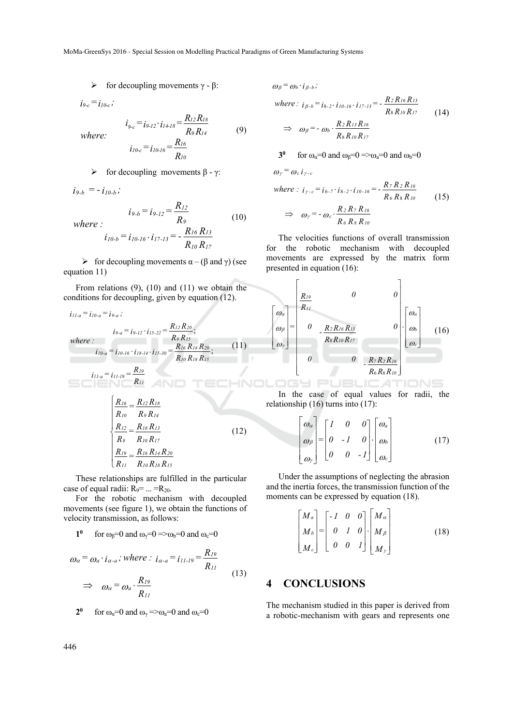MoMa-GreenSys 2016 - Special Session on Modelling Practical Paradigms of Green Manufacturing Systems

*R R*

*9 14*  $\dot{q}_{c} = i_{9-12} \cdot i_{14-18} = \frac{R_{12} R_{18}}{R_{9} R_{14}}$  (9)

(10)

 $\triangleright$  for decoupling movements γ - β:

 $i_{9-c} = i_{10-c}$ ;

*where:*

$$
i_{10-c} = i_{10-l6} = \frac{R_{16}}{R_{10}}
$$

 $i_{9-c} = i_{9-12} \cdot i_{14-18} = \frac{R_{12}R}{R_{12}}$ 

$$
\triangleright
$$
 for decoupling movements  $\beta$  -  $\gamma$ :

 $i_{9-b} = i_{9-12} = \frac{R_{12}}{R_{12}}$ 

 $i_{9-b} = -i_{10-b}$ ;

*where :*

$$
\vdots
$$
  
\n
$$
i_{10-b} = i_{10-16} \cdot i_{17-13} = -\frac{R_{16} R_{13}}{R_{10} R_{17}}
$$

 $\triangleright$  for decoupling movements  $\alpha - (\beta \text{ and } \gamma)$  (see equation 11)

From relations (9), (10) and (11) we obtain the conditions for decoupling, given by equation (12).

$$
i_{11-a} = i_{10-a} = i_{9-a};
$$
\n
$$
i_{9-a} = i_{9-12} \cdot i_{15-22} = \frac{R_{12} R_{20}}{R_9 R_{15}};
$$
\nwhere:  
\n
$$
i_{10-a} = i_{10-16} \cdot i_{18-14} \cdot i_{15-30} = \frac{R_{16} R_{14} R_{20}}{R_{10} R_{18} R_{15}};
$$
\n
$$
i_{11-a} = i_{11-19} = \frac{R_{19}}{R_{11}}
$$
\n
$$
\frac{R_{16}}{R_{10}} = \frac{R_{12} R_{18}}{R_9 R_{14}}
$$
\n
$$
\frac{R_{12}}{R_9} = \frac{R_{16} R_{13}}{R_{10} R_{17}}
$$
\n
$$
\frac{R_{19}}{R_{11}} = \frac{R_{16} R_{14} R_{20}}{R_{10} R_{18} R_{15}}
$$
\n(12)

These relationships are fulfilled in the particular case of equal radii:  $R_9 = ... = R_{20}$ .

For the robotic mechanism with decoupled movements (see figure 1), we obtain the functions of velocity transmission, as follows:

#### **1<sup>0</sup>** for  $\omega_0 = 0$  and  $\omega_2 = 0 \implies \omega_0 = 0$  and  $\omega_0 = 0$

$$
\omega_{\alpha} = \omega_{a} \cdot i_{\alpha-a}; \text{ where : } i_{\alpha-a} = i_{11-19} = \frac{R_{19}}{R_{11}}
$$
  

$$
\Rightarrow \omega_{\alpha} = \omega_{a} \cdot \frac{R_{19}}{R_{11}}
$$
 (13)

**20** for  $\omega_{\alpha}$ =0 and  $\omega_{\gamma}$  => $\omega_{\alpha}$ =0 and  $\omega_{\alpha}$ =0  $\omega_{\beta} = \omega_{b} \cdot i_{\beta-b}$ ;

where: 
$$
i_{\beta-b} = i_{8-2} \cdot i_{10-16} \cdot i_{17-13} = -\frac{R_2 R_{16} R_{13}}{R_8 R_{10} R_{17}}
$$
 (14)  
\n
$$
\Rightarrow \omega_{\beta} = -\omega_b \cdot \frac{R_2 R_{13} R_{16}}{R_8 R_{10} R_{17}}
$$

**30** for  $\omega_a=0$  and  $\omega_b=0 \Rightarrow \omega_a=0$  and  $\omega_b=0$ 

$$
\omega_{\gamma} = \omega_{c} i_{\gamma-c}
$$
  
where :  $i_{\gamma-c} = i_{6-7} \cdot i_{8-2} \cdot i_{10-16} = -\frac{R_{7} R_{2} R_{16}}{R_{6} R_{8} R_{10}}$  (15)  

$$
\Rightarrow \omega_{\gamma} = -\omega_{c} \cdot \frac{R_{2} R_{7} R_{16}}{R_{6} R_{8} R_{10}}
$$

The velocities functions of overall transmission for the robotic mechanism with decoupled movements are expressed by the matrix form presented in equation (16):

$$
\begin{bmatrix}\n\omega_a \\
\omega_b \\
\omega_r\n\end{bmatrix} = \begin{bmatrix}\nR_{19} & 0 & 0 \\
R_{11} & & & \\
0 & -R_2R_{16}R_{13} & & \\
0 & R_8R_{10}R_{17} & & \\
0 & 0 & -R_7R_2R_{16} \\
0 & 0 & -R_7R_2R_{16} \\
0 & 0 & -R_8R_8R_{10}\n\end{bmatrix}
$$
\n(16)

In the case of equal values for radii, the relationship (16) turns into (17):

$$
\begin{bmatrix} \omega_{\alpha} \\ \omega_{\beta} \\ \omega_{\gamma} \end{bmatrix} = \begin{bmatrix} I & 0 & 0 \\ 0 & -I & 0 \\ 0 & 0 & -I \end{bmatrix} \cdot \begin{bmatrix} \omega_{a} \\ \omega_{b} \\ \omega_{c} \end{bmatrix}
$$
(17)

Under the assumptions of neglecting the abrasion and the inertia forces, the transmission function of the moments can be expressed by equation (18).

$$
\begin{bmatrix} M_a \\ M_b \\ M_c \end{bmatrix} = \begin{bmatrix} -I & 0 & 0 \\ 0 & I & 0 \\ 0 & 0 & I \end{bmatrix} \cdot \begin{bmatrix} M_a \\ M_\beta \\ M_\gamma \end{bmatrix}
$$
 (18)

### **4 CONCLUSIONS**

The mechanism studied in this paper is derived from a robotic-mechanism with gears and represents one